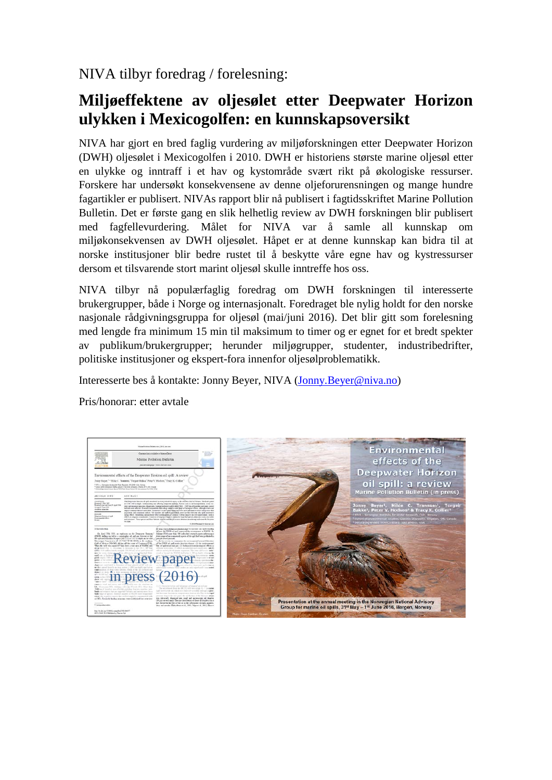## NIVA tilbyr foredrag / forelesning:

## **Miljøeffektene av oljesølet etter Deepwater Horizon ulykken i Mexicogolfen: en kunnskapsoversikt**

NIVA har gjort en bred faglig vurdering av miljøforskningen etter Deepwater Horizon (DWH) oljesølet i Mexicogolfen i 2010. DWH er historiens største marine oljesøl etter en ulykke og inntraff i et hav og kystområde svært rikt på økologiske ressurser. Forskere har undersøkt konsekvensene av denne oljeforurensningen og mange hundre fagartikler er publisert. NIVAs rapport blir nå publisert i fagtidsskriftet Marine Pollution Bulletin. Det er første gang en slik helhetlig review av DWH forskningen blir publisert med fagfellevurdering. Målet for NIVA var å samle all kunnskap om miljøkonsekvensen av DWH oljesølet. Håpet er at denne kunnskap kan bidra til at norske institusjoner blir bedre rustet til å beskytte våre egne hav og kystressurser dersom et tilsvarende stort marint oljesøl skulle inntreffe hos oss.

NIVA tilbyr nå populærfaglig foredrag om DWH forskningen til interesserte brukergrupper, både i Norge og internasjonalt. Foredraget ble nylig holdt for den norske nasjonale rådgivningsgruppa for oljesøl (mai/juni 2016). Det blir gitt som forelesning med lengde fra minimum 15 min til maksimum to timer og er egnet for et bredt spekter av publikum/brukergrupper; herunder miljøgrupper, studenter, industribedrifter, politiske institusjoner og ekspert-fora innenfor oljesølproblematikk.

Interesserte bes å kontakte: Jonny Beyer, NIVA [\(Jonny.Beyer@niva.no\)](mailto:Jonny.Beyer@niva.no)

Pris/honorar: etter avtale